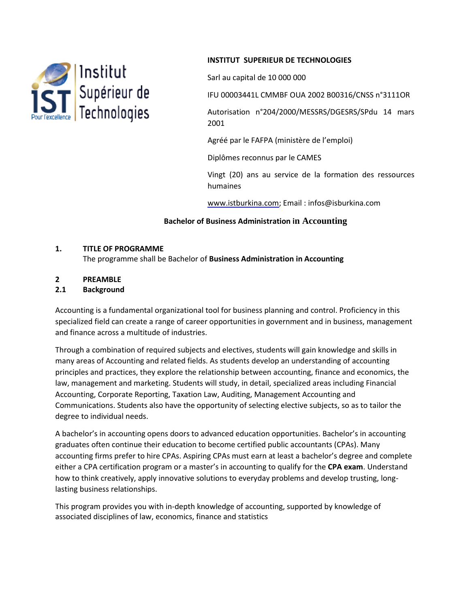

### **INSTITUT SUPERIEUR DE TECHNOLOGIES**

Sarl au capital de 10 000 000

IFU 00003441L CMMBF OUA 2002 B00316/CNSS n°3111OR

Autorisation n°204/2000/MESSRS/DGESRS/SPdu 14 mars 2001

Agréé par le FAFPA (ministère de l'emploi)

Diplômes reconnus par le CAMES

Vingt (20) ans au service de la formation des ressources humaines

www.istburkina.com; Email : infos@isburkina.com

### **Bachelor of Business Administration in Accounting**

#### **1. TITLE OF PROGRAMME**

The programme shall be Bachelor of **Business Administration in Accounting** 

### **2 PREAMBLE**

#### **2.1 Background**

Accounting is a fundamental organizational tool for business planning and control. Proficiency in this specialized field can create a range of career opportunities in government and in business, management and finance across a multitude of industries.

Through a combination of required subjects and electives, students will gain knowledge and skills in many areas of Accounting and related fields. As students develop an understanding of accounting principles and practices, they explore the relationship between accounting, finance and economics, the law, management and marketing. Students will study, in detail, specialized areas including Financial Accounting, Corporate Reporting, Taxation Law, Auditing, Management Accounting and Communications. Students also have the opportunity of selecting elective subjects, so as to tailor the degree to individual needs.

A bachelor's in accounting opens doors to advanced education opportunities. Bachelor's in accounting graduates often continue their education to become certified public accountants (CPAs). Many accounting firms prefer to hire CPAs. Aspiring CPAs must earn at least a bachelor's degree and complete either a CPA certification program or a master's in accounting to qualify for the **CPA exam**. Understand how to think creatively, apply innovative solutions to everyday problems and develop trusting, longlasting business relationships.

This program provides you with in-depth knowledge of accounting, supported by knowledge of associated disciplines of law, economics, finance and statistics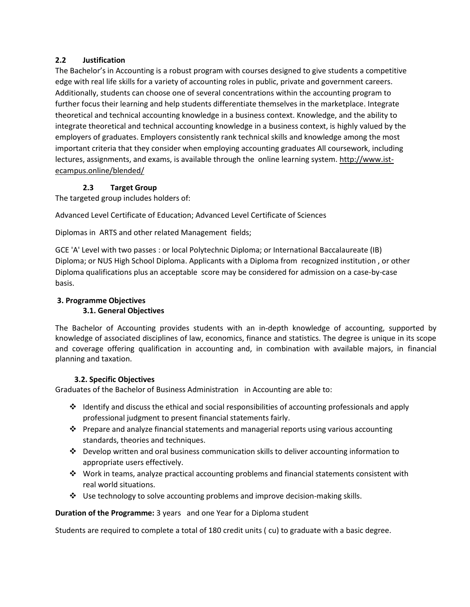# **2.2 Justification**

The Bachelor's in Accounting is a robust program with courses designed to give students a competitive edge with real life skills for a variety of accounting roles in public, private and government careers. Additionally, students can choose one of several concentrations within the accounting program to further focus their learning and help students differentiate themselves in the marketplace. Integrate theoretical and technical accounting knowledge in a business context. Knowledge, and the ability to integrate theoretical and technical accounting knowledge in a business context, is highly valued by the employers of graduates. Employers consistently rank technical skills and knowledge among the most important criteria that they consider when employing accounting graduates All coursework, including lectures, assignments, and exams, is available through the online learning system. [http://www.ist](http://www.ist-ecampus.online/blended/)[ecampus.online/blended/](http://www.ist-ecampus.online/blended/)

# **2.3 Target Group**

The targeted group includes holders of:

Advanced Level Certificate of Education; Advanced Level Certificate of Sciences

Diplomas in ARTS and other related Management fields;

GCE 'A' Level with two passes : or local Polytechnic Diploma; or International Baccalaureate (IB) Diploma; or NUS High School Diploma. Applicants with a Diploma from recognized institution , or other Diploma qualifications plus an acceptable score may be considered for admission on a case-by-case basis.

# **3. Programme Objectives**

#### **3.1. General Objectives**

The Bachelor of Accounting provides students with an in-depth knowledge of accounting, supported by knowledge of associated disciplines of law, economics, finance and statistics. The degree is unique in its scope and coverage offering qualification in accounting and, in combination with available majors, in financial planning and taxation.

# **3.2. Specific Objectives**

Graduates of the Bachelor of Business Administration in Accounting are able to:

- $\cdot$  Identify and discuss the ethical and social responsibilities of accounting professionals and apply professional judgment to present financial statements fairly.
- $\cdot \cdot$  Prepare and analyze financial statements and managerial reports using various accounting standards, theories and techniques.
- Develop written and oral business communication skills to deliver accounting information to appropriate users effectively.
- Work in teams, analyze practical accounting problems and financial statements consistent with real world situations.
- $\div$  Use technology to solve accounting problems and improve decision-making skills.

**Duration of the Programme:** 3 years and one Year for a Diploma student

Students are required to complete a total of 180 credit units ( cu) to graduate with a basic degree.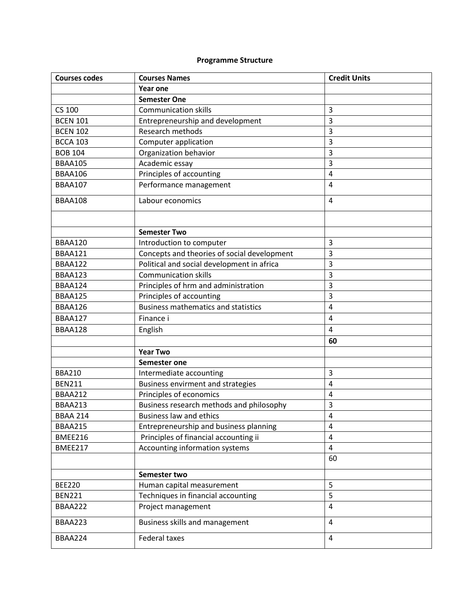# **Programme Structure**

| <b>Courses codes</b> | <b>Courses Names</b>                        | <b>Credit Units</b> |
|----------------------|---------------------------------------------|---------------------|
|                      | Year one                                    |                     |
|                      | <b>Semester One</b>                         |                     |
| <b>CS 100</b>        | <b>Communication skills</b>                 | 3                   |
| <b>BCEN 101</b>      | Entrepreneurship and development            | 3                   |
| <b>BCEN 102</b>      | Research methods                            | 3                   |
| <b>BCCA 103</b>      | Computer application                        | 3                   |
| <b>BOB 104</b>       | Organization behavior                       | 3                   |
| <b>BBAA105</b>       | Academic essay                              | 3                   |
| BBAA106              | Principles of accounting                    | $\overline{4}$      |
| <b>BBAA107</b>       | Performance management                      | 4                   |
| BBAA108              | Labour economics                            | $\overline{4}$      |
|                      |                                             |                     |
|                      | <b>Semester Two</b>                         |                     |
| BBAA120              | Introduction to computer                    | 3                   |
| BBAA121              | Concepts and theories of social development | 3                   |
| BBAA122              | Political and social development in africa  | 3                   |
| BBAA123              | <b>Communication skills</b>                 | 3                   |
| BBAA124              | Principles of hrm and administration        | 3                   |
| BBAA125              | Principles of accounting                    | 3                   |
| BBAA126              | <b>Business mathematics and statistics</b>  | 4                   |
| <b>BBAA127</b>       | Finance i                                   | 4                   |
| BBAA128              | English                                     | 4                   |
|                      |                                             | 60                  |
|                      | <b>Year Two</b>                             |                     |
|                      | Semester one                                |                     |
| <b>BBA210</b>        | Intermediate accounting                     | 3                   |
| <b>BEN211</b>        | Business envirment and strategies           | 4                   |
| <b>BBAA212</b>       | Principles of economics                     | 4                   |
| BBAA213              | Business research methods and philosophy    | 3                   |
| <b>BBAA 214</b>      | <b>Business law and ethics</b>              | 4                   |
| <b>BBAA215</b>       | Entrepreneurship and business planning      | 4                   |
| BMEE216              | Principles of financial accounting ii       | $\overline{4}$      |
| BMEE217              | Accounting information systems              | 4                   |
|                      |                                             | 60                  |
|                      | Semester two                                |                     |
| <b>BEE220</b>        | Human capital measurement                   | 5                   |
| <b>BEN221</b>        | Techniques in financial accounting          | 5                   |
| BBAA222              | Project management                          | 4                   |
| BBAA223              | Business skills and management              | 4                   |
| BBAA224              | <b>Federal taxes</b>                        | $\overline{4}$      |